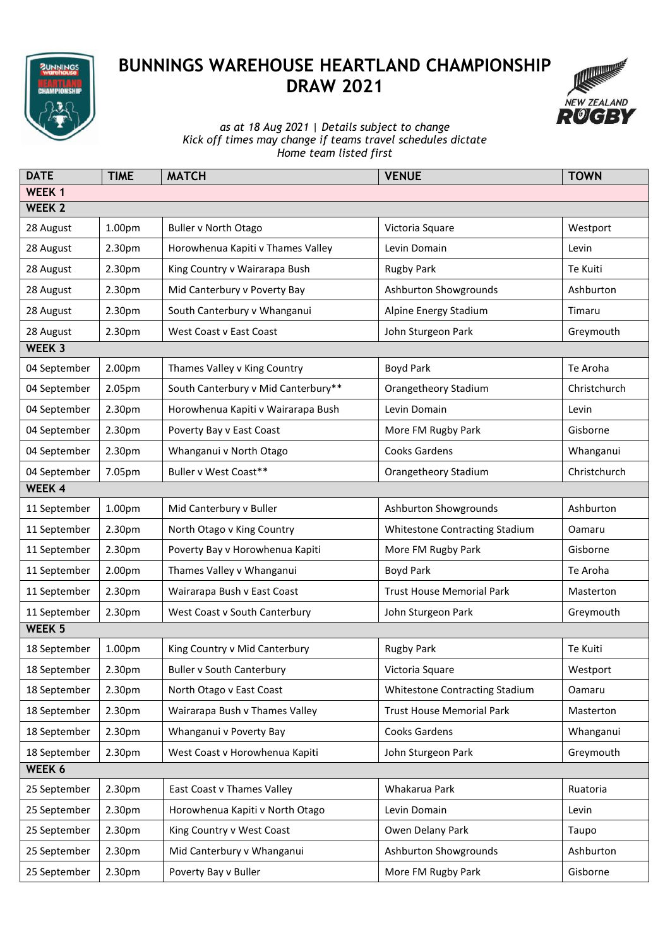

## **BUNNINGS WAREHOUSE HEARTLAND CHAMPIONSHIP DRAW 2021**



*as at 18 Aug 2021* | *Details subject to change Kick off times may change if teams travel schedules dictate Home team listed first*

| <b>DATE</b>   | <b>TIME</b> | <b>MATCH</b>                        | <b>VENUE</b>                     | <b>TOWN</b>  |  |  |  |  |
|---------------|-------------|-------------------------------------|----------------------------------|--------------|--|--|--|--|
| <b>WEEK1</b>  |             |                                     |                                  |              |  |  |  |  |
| <b>WEEK 2</b> |             |                                     |                                  |              |  |  |  |  |
| 28 August     | 1.00pm      | <b>Buller v North Otago</b>         | Victoria Square                  | Westport     |  |  |  |  |
| 28 August     | 2.30pm      | Horowhenua Kapiti v Thames Valley   | Levin Domain                     | Levin        |  |  |  |  |
| 28 August     | 2.30pm      | King Country v Wairarapa Bush       | <b>Rugby Park</b>                | Te Kuiti     |  |  |  |  |
| 28 August     | 2.30pm      | Mid Canterbury v Poverty Bay        | Ashburton Showgrounds            | Ashburton    |  |  |  |  |
| 28 August     | 2.30pm      | South Canterbury v Whanganui        | Alpine Energy Stadium            | Timaru       |  |  |  |  |
| 28 August     | 2.30pm      | West Coast v East Coast             | John Sturgeon Park               | Greymouth    |  |  |  |  |
| WEEK 3        |             |                                     |                                  |              |  |  |  |  |
| 04 September  | 2.00pm      | Thames Valley v King Country        | Boyd Park                        | Te Aroha     |  |  |  |  |
| 04 September  | 2.05pm      | South Canterbury v Mid Canterbury** | Orangetheory Stadium             | Christchurch |  |  |  |  |
| 04 September  | 2.30pm      | Horowhenua Kapiti v Wairarapa Bush  | Levin Domain                     | Levin        |  |  |  |  |
| 04 September  | 2.30pm      | Poverty Bay v East Coast            | More FM Rugby Park               | Gisborne     |  |  |  |  |
| 04 September  | 2.30pm      | Whanganui v North Otago             | Cooks Gardens                    | Whanganui    |  |  |  |  |
| 04 September  | 7.05pm      | Buller v West Coast**               | Orangetheory Stadium             | Christchurch |  |  |  |  |
| <b>WEEK 4</b> |             |                                     |                                  |              |  |  |  |  |
| 11 September  | 1.00pm      | Mid Canterbury v Buller             | Ashburton Showgrounds            | Ashburton    |  |  |  |  |
| 11 September  | 2.30pm      | North Otago v King Country          | Whitestone Contracting Stadium   | Oamaru       |  |  |  |  |
| 11 September  | 2.30pm      | Poverty Bay v Horowhenua Kapiti     | More FM Rugby Park               | Gisborne     |  |  |  |  |
| 11 September  | 2.00pm      | Thames Valley v Whanganui           | Boyd Park                        | Te Aroha     |  |  |  |  |
| 11 September  | 2.30pm      | Wairarapa Bush v East Coast         | <b>Trust House Memorial Park</b> | Masterton    |  |  |  |  |
| 11 September  | 2.30pm      | West Coast v South Canterbury       | John Sturgeon Park               | Greymouth    |  |  |  |  |
| WEEK 5        |             |                                     |                                  |              |  |  |  |  |
| 18 September  | 1.00pm      | King Country v Mid Canterbury       | <b>Rugby Park</b>                | Te Kuiti     |  |  |  |  |
| 18 September  | 2.30pm      | <b>Buller v South Canterbury</b>    | Victoria Square                  | Westport     |  |  |  |  |
| 18 September  | 2.30pm      | North Otago v East Coast            | Whitestone Contracting Stadium   | Oamaru       |  |  |  |  |
| 18 September  | 2.30pm      | Wairarapa Bush v Thames Valley      | <b>Trust House Memorial Park</b> | Masterton    |  |  |  |  |
| 18 September  | 2.30pm      | Whanganui v Poverty Bay             | Cooks Gardens                    | Whanganui    |  |  |  |  |
| 18 September  | 2.30pm      | West Coast v Horowhenua Kapiti      | John Sturgeon Park               | Greymouth    |  |  |  |  |
| WEEK 6        |             |                                     |                                  |              |  |  |  |  |
| 25 September  | 2.30pm      | East Coast v Thames Valley          | Whakarua Park                    | Ruatoria     |  |  |  |  |
| 25 September  | 2.30pm      | Horowhenua Kapiti v North Otago     | Levin Domain                     | Levin        |  |  |  |  |
| 25 September  | 2.30pm      | King Country v West Coast           | Owen Delany Park                 | Taupo        |  |  |  |  |
| 25 September  | 2.30pm      | Mid Canterbury v Whanganui          | Ashburton Showgrounds            | Ashburton    |  |  |  |  |
| 25 September  | 2.30pm      | Poverty Bay v Buller                | More FM Rugby Park               | Gisborne     |  |  |  |  |